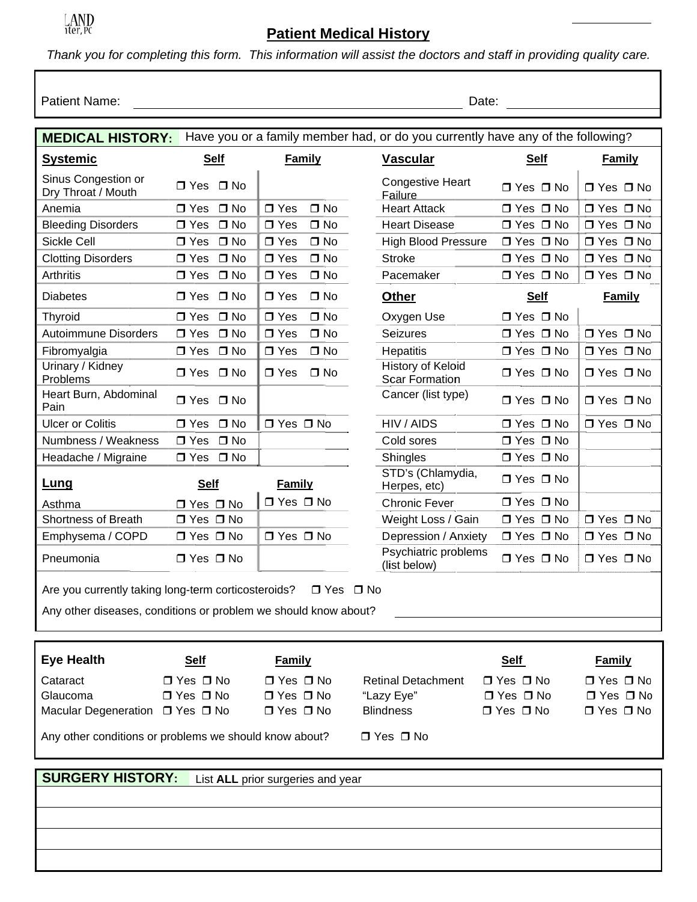LAND<br>iter, PC

## **Patient Medical History**

Thank you for completing this form. This information will assist the doctors and staff in providing quality care.

Patient Name:

Date:

| Have you or a family member had, or do you currently have any of the following?<br><b>MEDICAL HISTORY:</b> |                            |                            |                                                   |                      |                            |
|------------------------------------------------------------------------------------------------------------|----------------------------|----------------------------|---------------------------------------------------|----------------------|----------------------------|
| <b>Systemic</b>                                                                                            | <b>Self</b>                | <b>Family</b>              | <b>Vascular</b>                                   | <b>Self</b>          | <b>Family</b>              |
| Sinus Congestion or<br>Dry Throat / Mouth                                                                  | $\Box$ Yes $\Box$ No       |                            | <b>Congestive Heart</b><br>Failure                | $\Box$ Yes $\Box$ No | $\Box$ Yes $\Box$ No       |
| Anemia                                                                                                     | $\square$ No<br>$\Box$ Yes | $\square$ Yes<br>$\Box$ No | <b>Heart Attack</b>                               | $\Box$ Yes $\Box$ No | $\Box$ Yes $\Box$ No       |
| <b>Bleeding Disorders</b>                                                                                  | $\Box$ No<br>$\Box$ Yes    | $\square$ Yes<br>$\Box$ No | <b>Heart Disease</b>                              | $\Box$ Yes $\Box$ No | $\Box$ Yes $\Box$ No       |
| Sickle Cell                                                                                                | $\Box$ No<br>$\Box$ Yes    | $\Box$ No<br>$\Box$ Yes    | <b>High Blood Pressure</b>                        | $\Box$ Yes $\Box$ No | $\square$ Yes $\square$ No |
| <b>Clotting Disorders</b>                                                                                  | $\Box$ No<br>$\Box$ Yes    | $\Box$ Yes<br>$\Box$ No    | <b>Stroke</b>                                     | $\Box$ Yes $\Box$ No | $\Box$ Yes $\Box$ No       |
| Arthritis                                                                                                  | $\Box$ Yes $\Box$ No       | $\square$ No<br>$\Box$ Yes | Pacemaker                                         | $\Box$ Yes $\Box$ No | $\Box$ Yes $\Box$ No       |
| <b>Diabetes</b>                                                                                            | $\Box$ No<br>$\Box$ Yes    | $\Box$ No<br>$\Box$ Yes    | Other                                             | <b>Self</b>          | <b>Family</b>              |
| Thyroid                                                                                                    | $\Box$ No<br>$\Box$ Yes    | $\Box$ No<br>$\Box$ Yes    | Oxygen Use                                        | $\Box$ Yes $\Box$ No |                            |
| Autoimmune Disorders                                                                                       | $\Box$ Yes<br>$\Box$ No    | $\square$ Yes<br>$\Box$ No | <b>Seizures</b>                                   | $\Box$ Yes $\Box$ No | $\Box$ Yes $\Box$ No       |
| Fibromyalgia                                                                                               | $\Box$ Yes<br>$\Box$ No    | $\Box$ No<br>$\Box$ Yes    | Hepatitis                                         | $\Box$ Yes $\Box$ No | $\Box$ Yes $\Box$ No       |
| Urinary / Kidney<br>Problems                                                                               | $\Box$ Yes $\Box$ No       | $\Box$ No<br>$\Box$ Yes    | <b>History of Keloid</b><br><b>Scar Formation</b> | $\Box$ Yes $\Box$ No | $\Box$ Yes $\Box$ No       |
| Heart Burn, Abdominal<br>Pain                                                                              | $\Box$ Yes $\Box$ No       |                            | Cancer (list type)                                | $\Box$ Yes $\Box$ No | $\Box$ Yes $\Box$ No       |
| <b>Ulcer or Colitis</b>                                                                                    | $\Box$ Yes<br>$\Box$ No    | $\Box$ Yes $\Box$ No       | HIV / AIDS                                        | $\Box$ Yes $\Box$ No | $\Box$ Yes $\Box$ No       |
| Numbness / Weakness                                                                                        | $\Box$ Yes<br>$\square$ No |                            | Cold sores                                        | $\Box$ Yes $\Box$ No |                            |
| Headache / Migraine                                                                                        | $\Box$ Yes $\Box$ No       |                            | <b>Shingles</b>                                   | $\Box$ Yes $\Box$ No |                            |
| <u>Lung</u>                                                                                                | <b>Self</b>                | <b>Family</b>              | STD's (Chlamydia,<br>Herpes, etc)                 | $\Box$ Yes $\Box$ No |                            |
| Asthma                                                                                                     | $\square$ Yes $\square$ No | $\Box$ Yes $\Box$ No       | <b>Chronic Fever</b>                              | $\Box$ Yes $\Box$ No |                            |
| Shortness of Breath                                                                                        | $\Box$ Yes $\Box$ No       |                            | Weight Loss / Gain                                | $\Box$ Yes $\Box$ No | $\square$ Yes $\square$ No |
| Emphysema / COPD                                                                                           | $\Box$ Yes $\Box$ No       | $\Box$ Yes $\Box$ No       | Depression / Anxiety                              | $\Box$ Yes $\Box$ No | $\Box$ Yes $\Box$ No       |
| Pneumonia                                                                                                  | $\Box$ Yes $\Box$ No       |                            | Psychiatric problems<br>(list below)              | $\Box$ Yes $\Box$ No | $\Box$ Yes $\Box$ No       |
| Are you currently taking long-term corticosteroids?                                                        |                            | $\Box$ Yes $\Box$ No       |                                                   |                      |                            |
| Any other diseases, conditions or problem we should know about?                                            |                            |                            |                                                   |                      |                            |
|                                                                                                            |                            |                            |                                                   |                      |                            |
| <b>Eye Health</b>                                                                                          | <b>Self</b>                | <b>Family</b>              |                                                   | <b>Self</b>          | <b>Family</b>              |
| Cataract                                                                                                   | $\Box$ Yes $\Box$ No       | $\Box$ Yes $\Box$ No       | <b>Retinal Detachment</b>                         | $\Box$ Yes $\Box$ No | $\Box$ Yes $\Box$ No       |
| Glaucoma                                                                                                   | $\Box$ Yes $\Box$ No       | □ Yes □ No                 | "Lazy Eye"                                        | $\Box$ Yes $\Box$ No | $\Box$ Yes $\Box$ No       |
| Macular Degeneration □ Yes □ No                                                                            |                            | □ Yes □ No                 | <b>Blindness</b>                                  | $\Box$ Yes $\Box$ No | $\Box$ Yes $\Box$ No       |
| Any other conditions or problems we should know about?<br>$\Box$ Yes $\Box$ No                             |                            |                            |                                                   |                      |                            |
| <b>SURGERY HISTORY:</b><br>List ALL prior surgeries and year                                               |                            |                            |                                                   |                      |                            |
|                                                                                                            |                            |                            |                                                   |                      |                            |